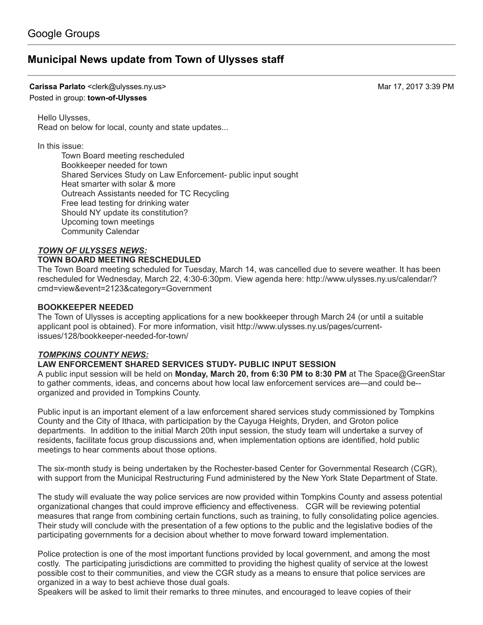# [Municipal](https://groups.google.com/d/topic/town-of-ulysses/XIM8ecZ-6E8) News update from Town of Ulysses staff

Carissa Parlato <clerk@ulysses.ny.us> Mar 17, 2017 3:39 PM

## Posted in group: [town-of-Ulysses](https://groups.google.com/d/forum/town-of-ulysses)

Hello Ulysses, Read on below for local, county and state updates...

In this issue:

Town Board meeting rescheduled Bookkeeper needed for town Shared Services Study on Law Enforcement- public input sought Heat smarter with solar & more Outreach Assistants needed for TC Recycling Free lead testing for drinking water Should NY update its constitution? Upcoming town meetings Community Calendar

### TOWN OF ULYSSES NEWS:

### TOWN BOARD MEETING RESCHEDULED

The Town Board meeting scheduled for Tuesday, March 14, was cancelled due to severe weather. It has been rescheduled for Wednesday, March 22, 4:30-6:30pm. View agenda here: http://www.ulysses.ny.us/calendar/? [cmd=view&event=2123&category=Government](http://www.ulysses.ny.us/calendar/?cmd=view&event=2123&category=Government)

### BOOKKEEPER NEEDED

The Town of Ulysses is accepting applications for a new bookkeeper through March 24 (or until a suitable applicant pool is obtained). For more information, visit http://www.ulysses.ny.us/pages/current[issues/128/bookkeeper-needed-for-town/](http://www.ulysses.ny.us/pages/current-issues/128/bookkeeper-needed-for-town/)

### TOMPKINS COUNTY NEWS:

# LAW ENFORCEMENT SHARED SERVICES STUDY- PUBLIC INPUT SESSION

A public input session will be held on Monday, March 20, from 6:30 PM to 8:30 PM at The Space@GreenStar to gather comments, ideas, and concerns about how local law enforcement services are—and could be- organized and provided in Tompkins County.

Public input is an important element of a law enforcement shared services study commissioned by Tompkins County and the City of Ithaca, with participation by the Cayuga Heights, Dryden, and Groton police departments. In addition to the initial March 20th input session, the study team will undertake a survey of residents, facilitate focus group discussions and, when implementation options are identified, hold public meetings to hear comments about those options.

The six-month study is being undertaken by the Rochester-based Center for Governmental Research (CGR), with support from the Municipal Restructuring Fund administered by the New York State Department of State.

The study will evaluate the way police services are now provided within Tompkins County and assess potential organizational changes that could improve efficiency and effectiveness. CGR will be reviewing potential measures that range from combining certain functions, such as training, to fully consolidating police agencies. Their study will conclude with the presentation of a few options to the public and the legislative bodies of the participating governments for a decision about whether to move forward toward implementation.

Police protection is one of the most important functions provided by local government, and among the most costly. The participating jurisdictions are committed to providing the highest quality of service at the lowest possible cost to their communities, and view the CGR study as a means to ensure that police services are organized in a way to best achieve those dual goals.

Speakers will be asked to limit their remarks to three minutes, and encouraged to leave copies of their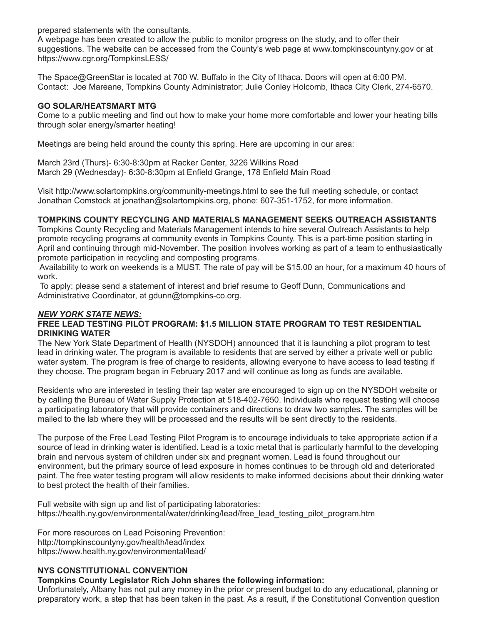prepared statements with the consultants.

A webpage has been created to allow the public to monitor progress on the study, and to offer their suggestions. The website can be accessed from the County's web page at [www.tompkinscountyny.gov](http://www.tompkinscountyny.gov/) or at <https://www.cgr.org/TompkinsLESS/>

The Space@GreenStar is located at 700 W. Buffalo in the City of Ithaca. Doors will open at 6:00 PM. Contact: Joe Mareane, Tompkins County Administrator; Julie Conley Holcomb, Ithaca City Clerk, 274-6570.

# GO SOLAR/HEATSMART MTG

Come to a public meeting and find out how to make your home more comfortable and lower your heating bills through solar energy/smarter heating!

Meetings are being held around the county this spring. Here are upcoming in our area:

March 23rd (Thurs)- 6:30-8:30pm at Racker Center, 3226 Wilkins Road March 29 (Wednesday)- 6:30-8:30pm at Enfield Grange, 178 Enfield Main Road

Visit <http://www.solartompkins.org/community-meetings.html> to see the full meeting schedule, or contact Jonathan Comstock at [jonathan@solartompkins.org,](mailto:jonathan@solartompkins.org) phone: 607-351-1752, for more information.

# TOMPKINS COUNTY RECYCLING AND MATERIALS MANAGEMENT SEEKS OUTREACH ASSISTANTS

Tompkins County Recycling and Materials Management intends to hire several Outreach Assistants to help promote recycling programs at community events in Tompkins County. This is a part-time position starting in April and continuing through mid-November. The position involves working as part of a team to enthusiastically promote participation in recycling and composting programs.

Availability to work on weekends is a MUST. The rate of pay will be \$15.00 an hour, for a maximum 40 hours of work.

To apply: please send a statement of interest and brief resume to Geoff Dunn, Communications and Administrative Coordinator, at [gdunn@tompkins-co.org](mailto:gdunn@tompkins-co.org).

# NEW YORK STATE NEWS:

#### FREE LEAD TESTING PILOT PROGRAM: \$1.5 MILLION STATE PROGRAM TO TEST RESIDENTIAL DRINKING WATER

The New York State Department of Health (NYSDOH) announced that it is launching a pilot program to test lead in drinking water. The program is available to residents that are served by either a private well or public water system. The program is free of charge to residents, allowing everyone to have access to lead testing if they choose. The program began in February 2017 and will continue as long as funds are available.

Residents who are interested in testing their tap water are encouraged to sign up on the NYSDOH website or by calling the Bureau of Water Supply Protection at 518-402-7650. Individuals who request testing will choose a participating laboratory that will provide containers and directions to draw two samples. The samples will be mailed to the lab where they will be processed and the results will be sent directly to the residents.

The purpose of the Free Lead Testing Pilot Program is to encourage individuals to take appropriate action if a source of lead in drinking water is identified. Lead is a toxic metal that is particularly harmful to the developing brain and nervous system of children under six and pregnant women. Lead is found throughout our environment, but the primary source of lead exposure in homes continues to be through old and deteriorated paint. The free water testing program will allow residents to make informed decisions about their drinking water to best protect the health of their families.

Full website with sign up and list of participating laboratories: [https://health.ny.gov/environmental/water/drinking/lead/free\\_lead\\_testing\\_pilot\\_program.htm](https://health.ny.gov/environmental/water/drinking/lead/free_lead_testing_pilot_program.htm)

For more resources on Lead Poisoning Prevention: <http://tompkinscountyny.gov/health/lead/index> <https://www.health.ny.gov/environmental/lead/>

# NYS CONSTITUTIONAL CONVENTION

# Tompkins County Legislator Rich John shares the following information:

Unfortunately, Albany has not put any money in the prior or present budget to do any educational, planning or preparatory work, a step that has been taken in the past. As a result, if the Constitutional Convention question